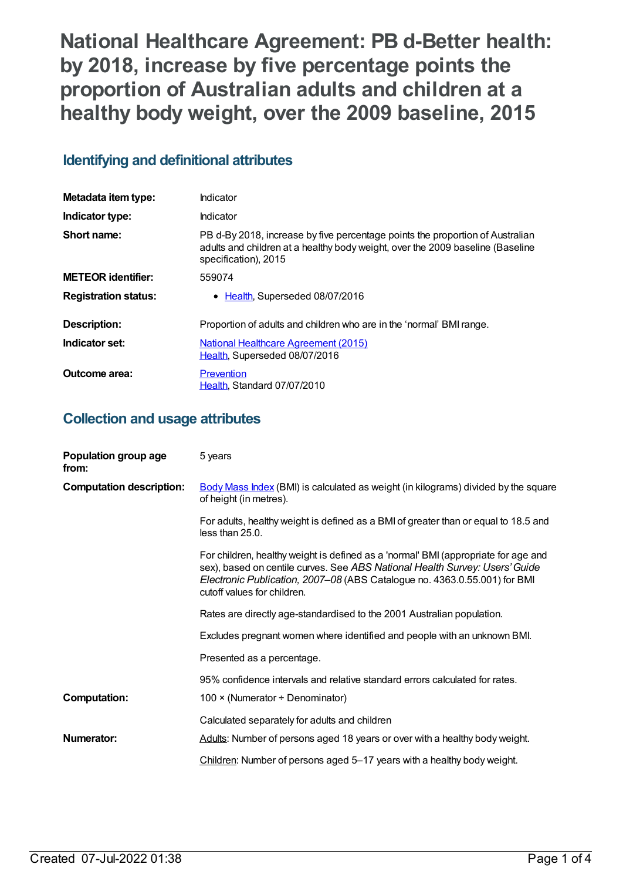**National Healthcare Agreement: PB d-Better health: by 2018, increase by five percentage points the proportion of Australian adults and children at a healthy body weight, over the 2009 baseline, 2015**

# **Identifying and definitional attributes**

| Metadata item type:         | Indicator                                                                                                                                                                               |
|-----------------------------|-----------------------------------------------------------------------------------------------------------------------------------------------------------------------------------------|
| Indicator type:             | Indicator                                                                                                                                                                               |
| Short name:                 | PB d-By 2018, increase by five percentage points the proportion of Australian<br>adults and children at a healthy body weight, over the 2009 baseline (Baseline<br>specification), 2015 |
| <b>METEOR</b> identifier:   | 559074                                                                                                                                                                                  |
| <b>Registration status:</b> | • Health, Superseded 08/07/2016                                                                                                                                                         |
| Description:                | Proportion of adults and children who are in the 'normal' BMI range.                                                                                                                    |
| Indicator set:              | National Healthcare Agreement (2015)<br>Health, Superseded 08/07/2016                                                                                                                   |
| Outcome area:               | Prevention<br>Health, Standard 07/07/2010                                                                                                                                               |

# **Collection and usage attributes**

| Population group age<br>from:   | 5 years                                                                                                                                                                                                                                                                       |
|---------------------------------|-------------------------------------------------------------------------------------------------------------------------------------------------------------------------------------------------------------------------------------------------------------------------------|
| <b>Computation description:</b> | Body Mass Index (BMI) is calculated as weight (in kilograms) divided by the square<br>of height (in metres).                                                                                                                                                                  |
|                                 | For adults, healthy weight is defined as a BMI of greater than or equal to 18.5 and<br>less than 25.0.                                                                                                                                                                        |
|                                 | For children, healthy weight is defined as a 'normal' BMI (appropriate for age and<br>sex), based on centile curves. See ABS National Health Survey: Users' Guide<br>Electronic Publication, 2007-08 (ABS Catalogue no. 4363.0.55.001) for BMI<br>cutoff values for children. |
|                                 | Rates are directly age-standardised to the 2001 Australian population.                                                                                                                                                                                                        |
|                                 | Excludes pregnant women where identified and people with an unknown BMI.                                                                                                                                                                                                      |
|                                 | Presented as a percentage.                                                                                                                                                                                                                                                    |
|                                 | 95% confidence intervals and relative standard errors calculated for rates.                                                                                                                                                                                                   |
| <b>Computation:</b>             | 100 × (Numerator ÷ Denominator)                                                                                                                                                                                                                                               |
|                                 | Calculated separately for adults and children                                                                                                                                                                                                                                 |
| Numerator:                      | Adults: Number of persons aged 18 years or over with a healthy body weight.                                                                                                                                                                                                   |
|                                 | Children: Number of persons aged 5-17 years with a healthy body weight.                                                                                                                                                                                                       |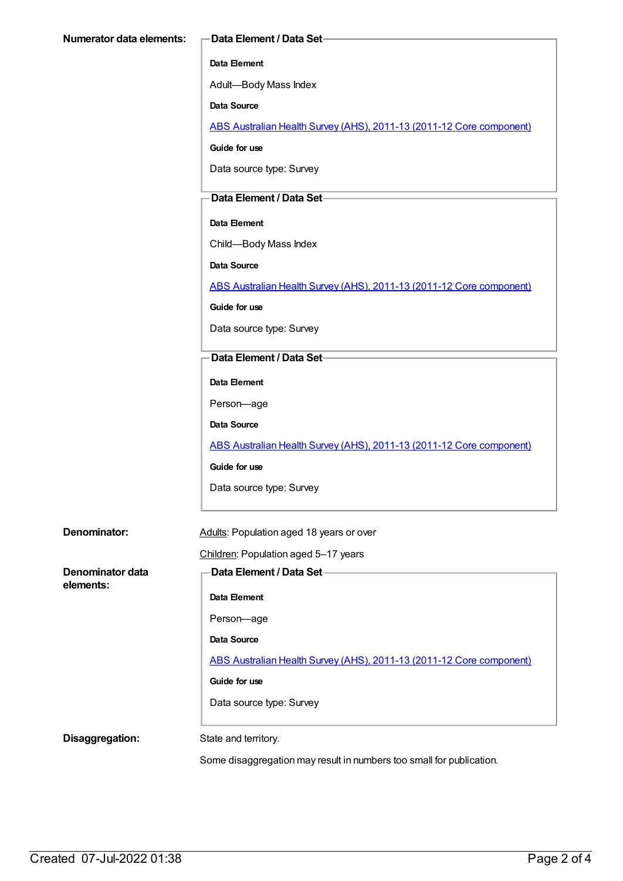#### **Data Element**

Adult—Body Mass Index

**Data Source**

ABS Australian Health Survey (AHS), 2011-13 (2011-12 Core [component\)](https://meteor.aihw.gov.au/content/585476)

**Guide for use**

Data source type: Survey

#### **Data Element / Data Set**

#### **Data Element**

Child—Body Mass Index

**Data Source**

ABS Australian Health Survey (AHS), 2011-13 (2011-12 Core [component\)](https://meteor.aihw.gov.au/content/585476)

**Guide for use**

Data source type: Survey

#### **Data Element / Data Set**

**Data Element**

Person—age

**Data Source**

ABS Australian Health Survey (AHS), 2011-13 (2011-12 Core [component\)](https://meteor.aihw.gov.au/content/585476)

**Guide for use**

Data source type: Survey

**Denominator:** Adults: Population aged 18 years or over

Children: Population aged 5–17 years

**Denominator data elements:**

**Data Element / Data Set Data Element** Person—age **Data Source** ABS Australian Health Survey (AHS), 2011-13 (2011-12 Core [component\)](https://meteor.aihw.gov.au/content/585476) **Guide for use** Data source type: Survey

**Disaggregation:** State and territory.

Some disaggregation may result in numbers too small for publication.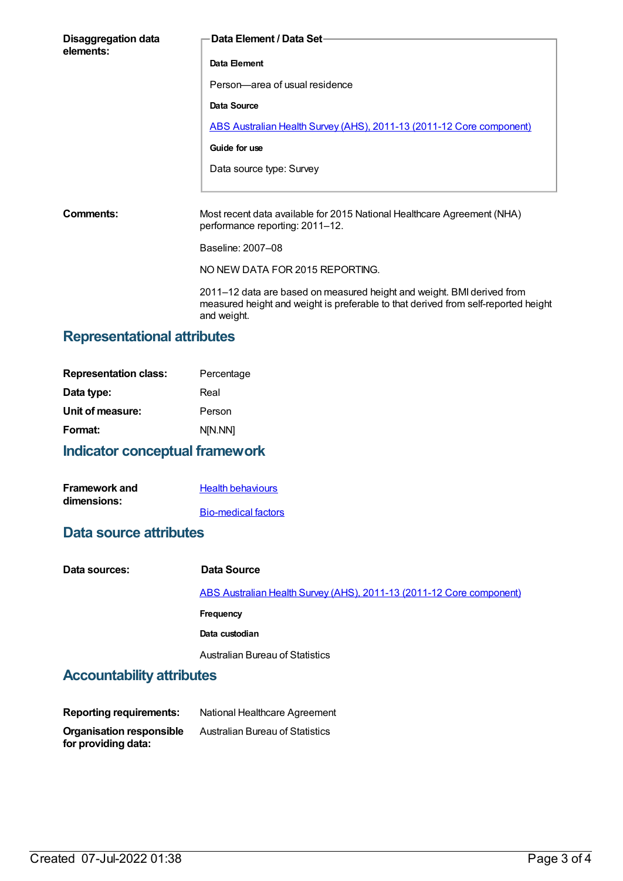| <b>Disaggregation data</b><br>elements: | Data Element / Data Set-                                                                                   |
|-----------------------------------------|------------------------------------------------------------------------------------------------------------|
|                                         | Data Element                                                                                               |
|                                         | Person-area of usual residence                                                                             |
|                                         | Data Source                                                                                                |
|                                         | ABS Australian Health Survey (AHS), 2011-13 (2011-12 Core component)                                       |
|                                         | Guide for use                                                                                              |
|                                         | Data source type: Survey                                                                                   |
|                                         |                                                                                                            |
| Comments:                               | Most recent data available for 2015 National Healthcare Agreement (NHA)<br>performance reporting: 2011-12. |
|                                         | Baseline: 2007-08                                                                                          |

NO NEW DATA FOR 2015 REPORTING.

2011–12 data are based on measured height and weight. BMI derived from measured height and weight is preferable to that derived from self-reported height and weight.

## **Representational attributes**

| <b>Representation class:</b> | Percentage |
|------------------------------|------------|
| Data type:                   | Real       |
| Unit of measure:             | Person     |
| Format:                      | N[N.NN]    |
|                              |            |

# **Indicator conceptual framework**

| <b>Framework and</b> | <b>Health behaviours</b>   |
|----------------------|----------------------------|
| dimensions:          |                            |
|                      | <b>Bio-medical factors</b> |

## **Data source attributes**

| Data sources: | Data Source                                                          |
|---------------|----------------------------------------------------------------------|
|               | ABS Australian Health Survey (AHS), 2011-13 (2011-12 Core component) |
|               | Frequency                                                            |
|               | Data custodian                                                       |
|               | Australian Bureau of Statistics                                      |
|               |                                                                      |

## **Accountability attributes**

| <b>Reporting requirements:</b>                         | National Healthcare Agreement          |
|--------------------------------------------------------|----------------------------------------|
| <b>Organisation responsible</b><br>for providing data: | <b>Australian Bureau of Statistics</b> |